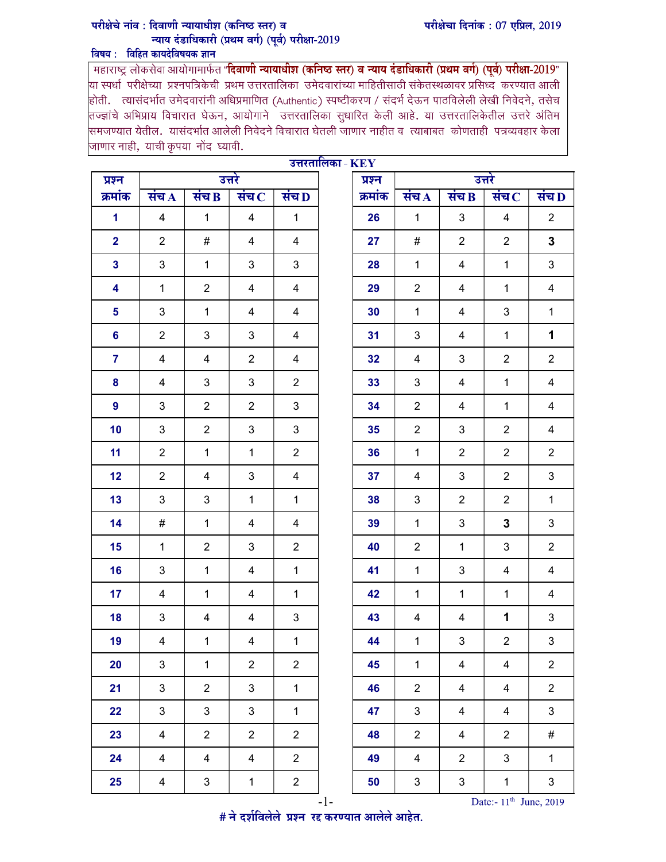## परीक्षेचा दिनांक: 07 एप्रिल, 2019

## परीक्षेचे नांव : दिवाणी न्यायाधीश (कनिष्ठ स्तर) व न्याय दंडाधिकारी (प्रथम वर्ग) (पूर्व) परीक्षा-2019 विषय: विहित कायदेविषयक ज्ञान

\_महाराष्ट्र लोकसेवा आयोगामार्फत "**दिवाणी न्यायाधीश (कनिष्ठ स्तर) व न्याय दंडाधिकारी (प्रथम वर्ग) (पूर्व) परीक्षा-2019"<br>या स्पर्धा परीक्षेच्या प्रश्नपत्रिकेची प्रथम उत्तरतालिका उमेदवारांच्या माहितीसाठी संकेतस्थळावर प्र** .<br>होती. त्यासंदर्भात उमेदवारांनी अधिप्रमाणित (Authentic) स्पष्टीकरण / संदर्भ देऊन पाठविलेली लेखी निवेदने, तसेच |<br>|तज्ज्ञांचे अभिप्राय विचारात घेऊन, आयोगाने उत्तरतालिका सुधारित केली आहे. या उत्तरतालिकेतील उत्तरे अंतिम |<br>|समजण्यात येतील. यासंदर्भात आलेली निवेदने विचारात घेतली जाणार नाहीत व त्याबाबत कोणताही पत्रव्यवहार केला जाणार नाही, याची कृपया नोंद घ्यावी.

|                | उत्तरतालिका - $\mathbf{KEY}$<br>उत्तरे<br>उत्तरे<br>प्रश्न<br>प्रश्न<br>संच $D$<br>संच $\bf{B}$<br>संच $\overline{A}$<br>संच $\, {\bf c}$<br>संच $\bf{B}$<br>संच $\, {\bf c}$<br>क्रमांक<br>संच $\bf D$<br>क्रमांक<br>संच $\bf{A}$<br>$\overline{4}$<br>$\mathbf{1}$<br>$\overline{4}$<br>$\mathbf{1}$<br>3<br>$\overline{2}$<br>$\mathbf{1}$<br>26<br>$\mathbf{1}$<br>$\overline{\mathcal{A}}$<br>$\mathbf{3}$<br>$\overline{\mathbf{2}}$<br>$\#$<br>$\overline{2}$<br>$\overline{4}$<br>$\overline{4}$<br>27<br>#<br>$\overline{2}$<br>$\overline{2}$<br>3<br>$\mathbf{3}$<br>$\mathbf{3}$<br>$\mathbf{1}$<br>3<br>$\mathbf{3}$<br>$\mathbf{1}$<br>28<br>$\mathbf 1$<br>$\overline{4}$<br>$\mathbf 1$<br>$\overline{2}$<br>4<br>4<br>4<br>29<br>$\overline{2}$<br>4<br>$\mathbf 1$<br>4<br>$\mathbf{1}$<br>$\overline{\mathbf{5}}$<br>3<br>$\mathbf 1$<br>$\overline{\mathbf{4}}$<br>$\overline{4}$<br>$\mathbf 1$<br>$\overline{4}$<br>$\ensuremath{\mathsf{3}}$<br>30 |                         |                |                |  |    |                |                |                           |                         |
|----------------|---------------------------------------------------------------------------------------------------------------------------------------------------------------------------------------------------------------------------------------------------------------------------------------------------------------------------------------------------------------------------------------------------------------------------------------------------------------------------------------------------------------------------------------------------------------------------------------------------------------------------------------------------------------------------------------------------------------------------------------------------------------------------------------------------------------------------------------------------------------------------------------------------------------------------------------------------------------------------|-------------------------|----------------|----------------|--|----|----------------|----------------|---------------------------|-------------------------|
|                |                                                                                                                                                                                                                                                                                                                                                                                                                                                                                                                                                                                                                                                                                                                                                                                                                                                                                                                                                                           |                         |                |                |  |    |                |                |                           |                         |
|                |                                                                                                                                                                                                                                                                                                                                                                                                                                                                                                                                                                                                                                                                                                                                                                                                                                                                                                                                                                           |                         |                |                |  |    |                |                |                           |                         |
|                |                                                                                                                                                                                                                                                                                                                                                                                                                                                                                                                                                                                                                                                                                                                                                                                                                                                                                                                                                                           |                         |                |                |  |    |                |                |                           |                         |
|                |                                                                                                                                                                                                                                                                                                                                                                                                                                                                                                                                                                                                                                                                                                                                                                                                                                                                                                                                                                           |                         |                |                |  |    |                |                |                           |                         |
|                |                                                                                                                                                                                                                                                                                                                                                                                                                                                                                                                                                                                                                                                                                                                                                                                                                                                                                                                                                                           |                         |                |                |  |    |                |                |                           |                         |
|                |                                                                                                                                                                                                                                                                                                                                                                                                                                                                                                                                                                                                                                                                                                                                                                                                                                                                                                                                                                           |                         |                |                |  |    |                |                |                           |                         |
|                |                                                                                                                                                                                                                                                                                                                                                                                                                                                                                                                                                                                                                                                                                                                                                                                                                                                                                                                                                                           |                         |                |                |  |    |                |                |                           |                         |
| $6\phantom{a}$ | $\overline{2}$                                                                                                                                                                                                                                                                                                                                                                                                                                                                                                                                                                                                                                                                                                                                                                                                                                                                                                                                                            | $\mathfrak{S}$          | 3              | $\overline{4}$ |  | 31 | 3              | 4              | $\mathbf 1$               | 1                       |
| $\overline{7}$ | 4                                                                                                                                                                                                                                                                                                                                                                                                                                                                                                                                                                                                                                                                                                                                                                                                                                                                                                                                                                         | 4                       | $\overline{2}$ | 4              |  | 32 | 4              | 3              | $\overline{2}$            | $\overline{2}$          |
| 8              | 4                                                                                                                                                                                                                                                                                                                                                                                                                                                                                                                                                                                                                                                                                                                                                                                                                                                                                                                                                                         | 3                       | 3              | $\overline{2}$ |  | 33 | 3              | 4              | $\mathbf{1}$              | $\overline{4}$          |
| 9              | 3                                                                                                                                                                                                                                                                                                                                                                                                                                                                                                                                                                                                                                                                                                                                                                                                                                                                                                                                                                         | $\overline{2}$          | $\overline{2}$ | $\mathbf{3}$   |  | 34 | $\overline{2}$ | 4              | $\mathbf 1$               | 4                       |
| 10             | 3                                                                                                                                                                                                                                                                                                                                                                                                                                                                                                                                                                                                                                                                                                                                                                                                                                                                                                                                                                         | $\overline{2}$          | 3              | $\mathbf{3}$   |  | 35 | $\overline{2}$ | $\mathfrak{B}$ | $\overline{2}$            | $\overline{\mathbf{4}}$ |
| 11             | $\overline{2}$                                                                                                                                                                                                                                                                                                                                                                                                                                                                                                                                                                                                                                                                                                                                                                                                                                                                                                                                                            | $\mathbf{1}$            | $\mathbf{1}$   | $\overline{2}$ |  | 36 | $\mathbf{1}$   | $\overline{2}$ | $\overline{2}$            | $\overline{2}$          |
| 12             | $\overline{2}$                                                                                                                                                                                                                                                                                                                                                                                                                                                                                                                                                                                                                                                                                                                                                                                                                                                                                                                                                            | 4                       | 3              | 4              |  | 37 | 4              | 3              | $\overline{2}$            | 3                       |
| 13             | 3                                                                                                                                                                                                                                                                                                                                                                                                                                                                                                                                                                                                                                                                                                                                                                                                                                                                                                                                                                         | $\mathfrak{S}$          | $\mathbf{1}$   | $\mathbf{1}$   |  | 38 | 3              | $\overline{2}$ | $\sqrt{2}$                | $\mathbf{1}$            |
| 14             | #                                                                                                                                                                                                                                                                                                                                                                                                                                                                                                                                                                                                                                                                                                                                                                                                                                                                                                                                                                         | $\mathbf{1}$            | 4              | 4              |  | 39 | $\mathbf 1$    | 3              | $\mathbf 3$               | 3                       |
| 15             | $\mathbf{1}$                                                                                                                                                                                                                                                                                                                                                                                                                                                                                                                                                                                                                                                                                                                                                                                                                                                                                                                                                              | $\overline{2}$          | 3              | $\overline{2}$ |  | 40 | $\overline{2}$ | $\mathbf{1}$   | 3                         | $\overline{2}$          |
| 16             | 3                                                                                                                                                                                                                                                                                                                                                                                                                                                                                                                                                                                                                                                                                                                                                                                                                                                                                                                                                                         | $\mathbf{1}$            | 4              | $\mathbf{1}$   |  | 41 | $\mathbf 1$    | $\mathfrak{B}$ | 4                         | $\overline{4}$          |
| 17             | 4                                                                                                                                                                                                                                                                                                                                                                                                                                                                                                                                                                                                                                                                                                                                                                                                                                                                                                                                                                         | $\mathbf{1}$            | 4              | $\mathbf{1}$   |  | 42 | $\mathbf{1}$   | $\mathbf{1}$   | $\mathbf 1$               | $\overline{4}$          |
| 18             | 3                                                                                                                                                                                                                                                                                                                                                                                                                                                                                                                                                                                                                                                                                                                                                                                                                                                                                                                                                                         | 4                       | 4              | $\mathfrak{S}$ |  | 43 | 4              | 4              | 1                         | $\mathfrak{S}$          |
| 19             | $\overline{4}$                                                                                                                                                                                                                                                                                                                                                                                                                                                                                                                                                                                                                                                                                                                                                                                                                                                                                                                                                            | $\mathbf{1}$            | $\overline{4}$ | $\mathbf{1}$   |  | 44 | $\mathbf{1}$   | $\mathbf{3}$   | $\overline{2}$            | $\mathbf{3}$            |
| 20             | $\mathbf{3}$                                                                                                                                                                                                                                                                                                                                                                                                                                                                                                                                                                                                                                                                                                                                                                                                                                                                                                                                                              | $\mathbf{1}$            | $\overline{2}$ | $\overline{2}$ |  | 45 | $\mathbf{1}$   | $\overline{4}$ | $\overline{4}$            | $\overline{2}$          |
| 21             | $\mathbf{3}$                                                                                                                                                                                                                                                                                                                                                                                                                                                                                                                                                                                                                                                                                                                                                                                                                                                                                                                                                              | $\overline{2}$          | 3              | $\mathbf{1}$   |  | 46 | $\overline{2}$ | $\overline{4}$ | 4                         | $\overline{2}$          |
| 22             | $\mathbf{3}$                                                                                                                                                                                                                                                                                                                                                                                                                                                                                                                                                                                                                                                                                                                                                                                                                                                                                                                                                              | $\mathbf{3}$            | $\mathbf{3}$   | $\mathbf{1}$   |  | 47 | $\mathbf{3}$   | $\overline{4}$ | $\overline{4}$            | $\mathbf{3}$            |
| 23             | $\overline{4}$                                                                                                                                                                                                                                                                                                                                                                                                                                                                                                                                                                                                                                                                                                                                                                                                                                                                                                                                                            | $\overline{2}$          | $\overline{2}$ | $\overline{2}$ |  | 48 | $\overline{2}$ | $\overline{4}$ | $\overline{2}$            | #                       |
| 24             | $\overline{4}$                                                                                                                                                                                                                                                                                                                                                                                                                                                                                                                                                                                                                                                                                                                                                                                                                                                                                                                                                            | $\overline{\mathbf{4}}$ | $\overline{4}$ | $\overline{2}$ |  | 49 | $\overline{4}$ | $\overline{2}$ | $\ensuremath{\mathsf{3}}$ | $\mathbf{1}$            |
| 25             | $\overline{4}$                                                                                                                                                                                                                                                                                                                                                                                                                                                                                                                                                                                                                                                                                                                                                                                                                                                                                                                                                            | $\mathfrak{S}$          | $\mathbf 1$    | $\overline{2}$ |  | 50 | $\mathbf{3}$   | $\mathfrak{S}$ | $\mathbf{1}$              | $\mathbf{3}$            |

# ने दर्शविलेले प्रश्न रद्द करण्यात आलेले आहेत.

 $-1-$  Date:-  $11<sup>th</sup>$  June, 2019